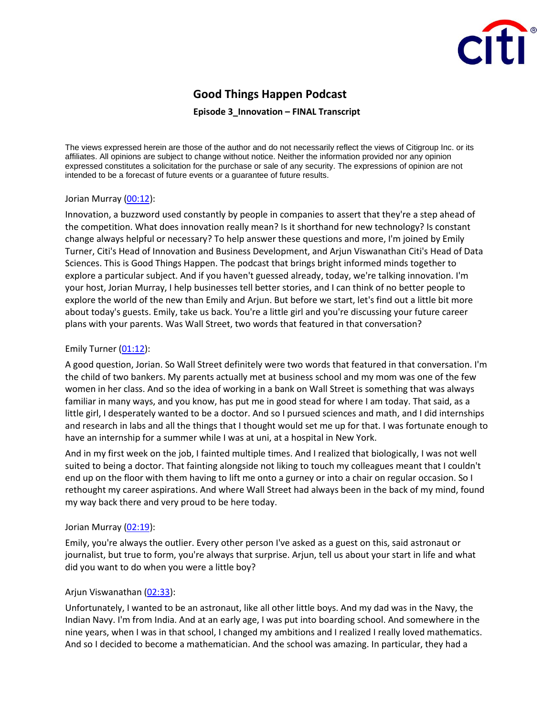

# **Good Things Happen Podcast**

#### **Episode 3\_Innovation – FINAL Transcript**

The views expressed herein are those of the author and do not necessarily reflect the views of Citigroup Inc. or its affiliates. All opinions are subject to change without notice. Neither the information provided nor any opinion expressed constitutes a solicitation for the purchase or sale of any security. The expressions of opinion are not intended to be a forecast of future events or a guarantee of future results.

#### Jorian Murray [\(00:12\)](https://www.rev.com/transcript-editor/Edit?token=TSLH6zOF7GBnaugCfT-Z-wRBH3G0WPHf50Goyv7I14WagUU2sT28_iFoGd0Oc2-Q0NQEpXUdKRDygr_psTaFkIBrYfI&loadFrom=DocumentDeeplink&ts=12.15):

Innovation, a buzzword used constantly by people in companies to assert that they're a step ahead of the competition. What does innovation really mean? Is it shorthand for new technology? Is constant change always helpful or necessary? To help answer these questions and more, I'm joined by Emily Turner, Citi's Head of Innovation and Business Development, and Arjun Viswanathan Citi's Head of Data Sciences. This is Good Things Happen. The podcast that brings bright informed minds together to explore a particular subject. And if you haven't guessed already, today, we're talking innovation. I'm your host, Jorian Murray, I help businesses tell better stories, and I can think of no better people to explore the world of the new than Emily and Arjun. But before we start, let's find out a little bit more about today's guests. Emily, take us back. You're a little girl and you're discussing your future career plans with your parents. Was Wall Street, two words that featured in that conversation?

#### Emily Turner [\(01:12\)](https://www.rev.com/transcript-editor/Edit?token=bya4Bv3_SMnHXrcpkqyQW8Vg-4Dzznp3xNhuYcWblNBM2mYEUQg6kMH2moU2PoM7ZVOvGkl-psYf91vVGiEbwYBLEVk&loadFrom=DocumentDeeplink&ts=72.67):

A good question, Jorian. So Wall Street definitely were two words that featured in that conversation. I'm the child of two bankers. My parents actually met at business school and my mom was one of the few women in her class. And so the idea of working in a bank on Wall Street is something that was always familiar in many ways, and you know, has put me in good stead for where I am today. That said, as a little girl, I desperately wanted to be a doctor. And so I pursued sciences and math, and I did internships and research in labs and all the things that I thought would set me up for that. I was fortunate enough to have an internship for a summer while I was at uni, at a hospital in New York.

And in my first week on the job, I fainted multiple times. And I realized that biologically, I was not well suited to being a doctor. That fainting alongside not liking to touch my colleagues meant that I couldn't end up on the floor with them having to lift me onto a gurney or into a chair on regular occasion. So I rethought my career aspirations. And where Wall Street had always been in the back of my mind, found my way back there and very proud to be here today.

#### Jorian Murray [\(02:19\)](https://www.rev.com/transcript-editor/Edit?token=nOKLGbrvArQrHzxayw_7hravYmzayrE_w1dxEKhhudmZdFS5P4TiTh8aiGX0S9fuWKGbuLTQ7gC0ssNxPUo5QUBOMlA&loadFrom=DocumentDeeplink&ts=139.96):

Emily, you're always the outlier. Every other person I've asked as a guest on this, said astronaut or journalist, but true to form, you're always that surprise. Arjun, tell us about your start in life and what did you want to do when you were a little boy?

#### Arjun Viswanathan [\(02:33\)](https://www.rev.com/transcript-editor/Edit?token=v_W-GXcnYBpCy86zAj29oGQ2a3FyBJXtW2L8dgOGzppyg6zo9IdcpRUHjW4ufL5alDapLyIX6-S3AevqRf0v5EnZNe8&loadFrom=DocumentDeeplink&ts=153.6):

Unfortunately, I wanted to be an astronaut, like all other little boys. And my dad was in the Navy, the Indian Navy. I'm from India. And at an early age, I was put into boarding school. And somewhere in the nine years, when I was in that school, I changed my ambitions and I realized I really loved mathematics. And so I decided to become a mathematician. And the school was amazing. In particular, they had a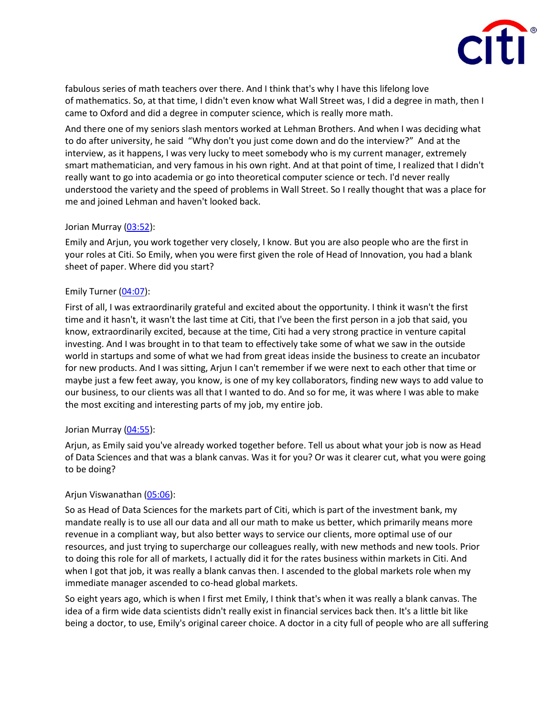

fabulous series of math teachers over there. And I think that's why I have this lifelong love of mathematics. So, at that time, I didn't even know what Wall Street was, I did a degree in math, then I came to Oxford and did a degree in computer science, which is really more math.

And there one of my seniors slash mentors worked at Lehman Brothers. And when I was deciding what to do after university, he said "Why don't you just come down and do the interview?" And at the interview, as it happens, I was very lucky to meet somebody who is my current manager, extremely smart mathematician, and very famous in his own right. And at that point of time, I realized that I didn't really want to go into academia or go into theoretical computer science or tech. I'd never really understood the variety and the speed of problems in Wall Street. So I really thought that was a place for me and joined Lehman and haven't looked back.

#### Jorian Murray [\(03:52\)](https://www.rev.com/transcript-editor/Edit?token=xI0JV2uhVIycz4vO-iMGg1QIP1362_gPPoMT88c9h5s8wJVHI4j3mCiyE1TzxA_4dYZYrZtNXLEEWDlvBybI2gMKQdQ&loadFrom=DocumentDeeplink&ts=232.07):

Emily and Arjun, you work together very closely, I know. But you are also people who are the first in your roles at Citi. So Emily, when you were first given the role of Head of Innovation, you had a blank sheet of paper. Where did you start?

# Emily Turner [\(04:07\)](https://www.rev.com/transcript-editor/Edit?token=6mNzdMu9pFx6W8BQugbwNH9oTLqd4vfnoo2Pt4qeebL1C58aCf0qWujpCDZgC7NrXTLfbEuWfnYtuDDr8lWT4-pMdDU&loadFrom=DocumentDeeplink&ts=247.8):

First of all, I was extraordinarily grateful and excited about the opportunity. I think it wasn't the first time and it hasn't, it wasn't the last time at Citi, that I've been the first person in a job that said, you know, extraordinarily excited, because at the time, Citi had a very strong practice in venture capital investing. And I was brought in to that team to effectively take some of what we saw in the outside world in startups and some of what we had from great ideas inside the business to create an incubator for new products. And I was sitting, Arjun I can't remember if we were next to each other that time or maybe just a few feet away, you know, is one of my key collaborators, finding new ways to add value to our business, to our clients was all that I wanted to do. And so for me, it was where I was able to make the most exciting and interesting parts of my job, my entire job.

#### Jorian Murray [\(04:55\)](https://www.rev.com/transcript-editor/Edit?token=ecIccn0tGFVkKESK1WrZXBILo9WdxZ4mNsA48m_uocHtlJC4vJx-fpTJgWJkP4bEvWQNIgScah2ilsb9MH1YBr4X29s&loadFrom=DocumentDeeplink&ts=295.05):

Arjun, as Emily said you've already worked together before. Tell us about what your job is now as Head of Data Sciences and that was a blank canvas. Was it for you? Or was it clearer cut, what you were going to be doing?

#### Arjun Viswanathan [\(05:06\)](https://www.rev.com/transcript-editor/Edit?token=ofgzoxPGmIwqL2SMvvacejQ6-fuHTCBwo4e7Yg03_saQD6hdLWBKAqFNzpwUwY8gY7-w9NwT03jpwVn6wTH6Z5pNnQo&loadFrom=DocumentDeeplink&ts=306.82):

So as Head of Data Sciences for the markets part of Citi, which is part of the investment bank, my mandate really is to use all our data and all our math to make us better, which primarily means more revenue in a compliant way, but also better ways to service our clients, more optimal use of our resources, and just trying to supercharge our colleagues really, with new methods and new tools. Prior to doing this role for all of markets, I actually did it for the rates business within markets in Citi. And when I got that job, it was really a blank canvas then. I ascended to the global markets role when my immediate manager ascended to co-head global markets.

So eight years ago, which is when I first met Emily, I think that's when it was really a blank canvas. The idea of a firm wide data scientists didn't really exist in financial services back then. It's a little bit like being a doctor, to use, Emily's original career choice. A doctor in a city full of people who are all suffering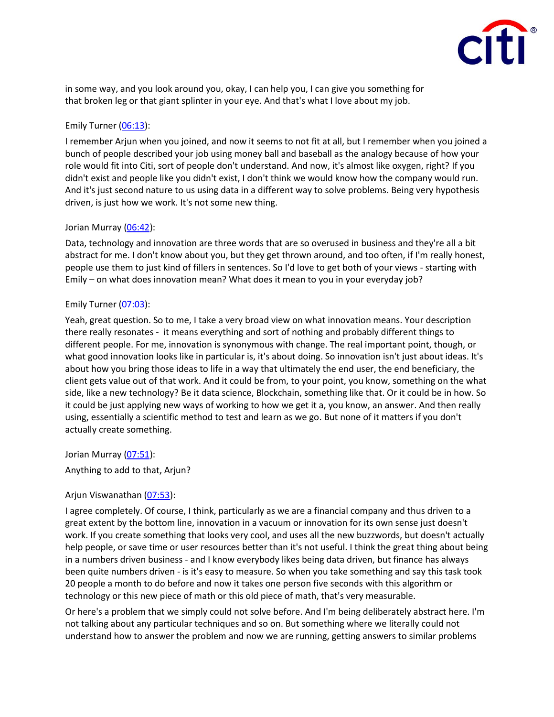

in some way, and you look around you, okay, I can help you, I can give you something for that broken leg or that giant splinter in your eye. And that's what I love about my job.

## Emily Turner [\(06:13\)](https://www.rev.com/transcript-editor/Edit?token=Ycu_yCH_bq29Qk1q-_Gmc-la_OgApAX9_3T0jMmdD2hPlHg42pV-yf5sRMGK9dVk0HwwAB3VxjjT-EpNNSxgFPhXBYs&loadFrom=DocumentDeeplink&ts=373.73):

I remember Arjun when you joined, and now it seems to not fit at all, but I remember when you joined a bunch of people described your job using money ball and baseball as the analogy because of how your role would fit into Citi, sort of people don't understand. And now, it's almost like oxygen, right? If you didn't exist and people like you didn't exist, I don't think we would know how the company would run. And it's just second nature to us using data in a different way to solve problems. Being very hypothesis driven, is just how we work. It's not some new thing.

# Jorian Murray [\(06:42\)](https://www.rev.com/transcript-editor/Edit?token=YL4krZLT7HPixQwKVG5qGi3xPUQJxqBo0ngX6x17zGsI0dxKXVt3c3c3_2ANcEAiBFgTMMQinSNkp9cfC3rsbIAboZQ&loadFrom=DocumentDeeplink&ts=402.12):

Data, technology and innovation are three words that are so overused in business and they're all a bit abstract for me. I don't know about you, but they get thrown around, and too often, if I'm really honest, people use them to just kind of fillers in sentences. So I'd love to get both of your views - starting with Emily – on what does innovation mean? What does it mean to you in your everyday job?

# Emily Turner [\(07:03\)](https://www.rev.com/transcript-editor/Edit?token=ryYetONU4x2kLJuMXgdYODHuPpOQeGp-P5s_Mt6lbvfs1ZfKuoUad_9qXHGTM1cRGXXKXnA-LfO6rpHgr_JzEjSPVks&loadFrom=DocumentDeeplink&ts=423.45):

Yeah, great question. So to me, I take a very broad view on what innovation means. Your description there really resonates - it means everything and sort of nothing and probably different things to different people. For me, innovation is synonymous with change. The real important point, though, or what good innovation looks like in particular is, it's about doing. So innovation isn't just about ideas. It's about how you bring those ideas to life in a way that ultimately the end user, the end beneficiary, the client gets value out of that work. And it could be from, to your point, you know, something on the what side, like a new technology? Be it data science, Blockchain, something like that. Or it could be in how. So it could be just applying new ways of working to how we get it a, you know, an answer. And then really using, essentially a scientific method to test and learn as we go. But none of it matters if you don't actually create something.

Jorian Murray [\(07:51\)](https://www.rev.com/transcript-editor/Edit?token=kBWmdgmLRKay8gzWfQ27Zpz8pcbUaXjZgRHzaq2lStGNlvCa_edlc9LSWW6NUu3ULSSJhuIlf8KqFEDeyRb8QTxvhfU&loadFrom=DocumentDeeplink&ts=471.61):

Anything to add to that, Arjun?

# Arjun Viswanathan [\(07:53\)](https://www.rev.com/transcript-editor/Edit?token=ldZCx85sbbFDUFxoTdxP4lw98nU60k1AcW9cS0BSrOxXpshYgWdQVFYyU7TrUFmcMfbOQ1BZmsYWCe8gAxx0kf6zIvU&loadFrom=DocumentDeeplink&ts=473.76):

I agree completely. Of course, I think, particularly as we are a financial company and thus driven to a great extent by the bottom line, innovation in a vacuum or innovation for its own sense just doesn't work. If you create something that looks very cool, and uses all the new buzzwords, but doesn't actually help people, or save time or user resources better than it's not useful. I think the great thing about being in a numbers driven business - and I know everybody likes being data driven, but finance has always been quite numbers driven - is it's easy to measure. So when you take something and say this task took 20 people a month to do before and now it takes one person five seconds with this algorithm or technology or this new piece of math or this old piece of math, that's very measurable.

Or here's a problem that we simply could not solve before. And I'm being deliberately abstract here. I'm not talking about any particular techniques and so on. But something where we literally could not understand how to answer the problem and now we are running, getting answers to similar problems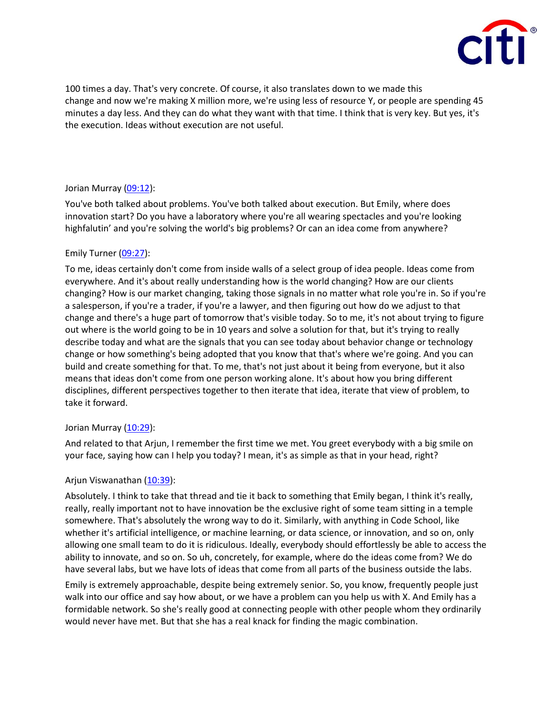

100 times a day. That's very concrete. Of course, it also translates down to we made this change and now we're making X million more, we're using less of resource Y, or people are spending 45 minutes a day less. And they can do what they want with that time. I think that is very key. But yes, it's the execution. Ideas without execution are not useful.

# Jorian Murray [\(09:12\)](https://www.rev.com/transcript-editor/Edit?token=iD0huBKEVlEdjXkkOtWKPv8xeWAjkjgXvNncfG83E74ccaIXefzfu4ollz9gRqaHGdZpi_4K1dYrKR8s1XwpYLmY-Qs&loadFrom=DocumentDeeplink&ts=552.33):

You've both talked about problems. You've both talked about execution. But Emily, where does innovation start? Do you have a laboratory where you're all wearing spectacles and you're looking highfalutin' and you're solving the world's big problems? Or can an idea come from anywhere?

# Emily Turner [\(09:27\)](https://www.rev.com/transcript-editor/Edit?token=gi1nUMxDyp5nTQ0O3lkdeyIZIFleJ1lGteGTYcXx6cbe4AU_naNIBO-7QTvKoLXiqoRu2PQE4gqHQ8NWxba1SA297h0&loadFrom=DocumentDeeplink&ts=567.27):

To me, ideas certainly don't come from inside walls of a select group of idea people. Ideas come from everywhere. And it's about really understanding how is the world changing? How are our clients changing? How is our market changing, taking those signals in no matter what role you're in. So if you're a salesperson, if you're a trader, if you're a lawyer, and then figuring out how do we adjust to that change and there's a huge part of tomorrow that's visible today. So to me, it's not about trying to figure out where is the world going to be in 10 years and solve a solution for that, but it's trying to really describe today and what are the signals that you can see today about behavior change or technology change or how something's being adopted that you know that that's where we're going. And you can build and create something for that. To me, that's not just about it being from everyone, but it also means that ideas don't come from one person working alone. It's about how you bring different disciplines, different perspectives together to then iterate that idea, iterate that view of problem, to take it forward.

# Jorian Murray [\(10:29\)](https://www.rev.com/transcript-editor/Edit?token=71NAbTNlwBknowuRI1gTNYszTSY_aL2wWR11XnGQ14IcY-ebt8N_PaaV-p4hyqeZNviaObb2PibgywqCzalnszuNrWo&loadFrom=DocumentDeeplink&ts=629.09):

And related to that Arjun, I remember the first time we met. You greet everybody with a big smile on your face, saying how can I help you today? I mean, it's as simple as that in your head, right?

# Arjun Viswanathan [\(10:39\)](https://www.rev.com/transcript-editor/Edit?token=_E8x9HbEolNTGJOUg8YJVC0JJSUFCGa7n9JizpUl3aJZrQdk4t021y8gC1-ei240l0mRiMflNI6Ci50FainV9xj7cpo&loadFrom=DocumentDeeplink&ts=639.49):

Absolutely. I think to take that thread and tie it back to something that Emily began, I think it's really, really, really important not to have innovation be the exclusive right of some team sitting in a temple somewhere. That's absolutely the wrong way to do it. Similarly, with anything in Code School, like whether it's artificial intelligence, or machine learning, or data science, or innovation, and so on, only allowing one small team to do it is ridiculous. Ideally, everybody should effortlessly be able to access the ability to innovate, and so on. So uh, concretely, for example, where do the ideas come from? We do have several labs, but we have lots of ideas that come from all parts of the business outside the labs.

Emily is extremely approachable, despite being extremely senior. So, you know, frequently people just walk into our office and say how about, or we have a problem can you help us with X. And Emily has a formidable network. So she's really good at connecting people with other people whom they ordinarily would never have met. But that she has a real knack for finding the magic combination.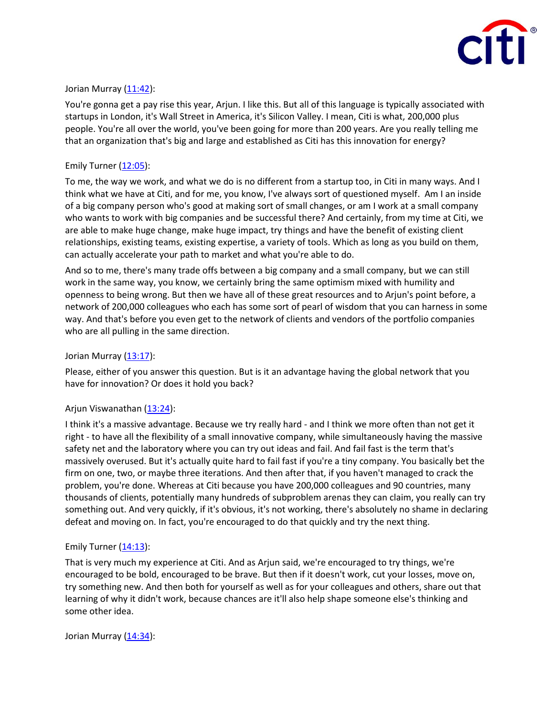

# Jorian Murray [\(11:42\)](https://www.rev.com/transcript-editor/Edit?token=NzcU-XqKXbqGgSU7uqVq-ra_WuPuxLck1AMjmJTCPmTuK44-TKwktinCuu_DmgqGTJEMZakB6kPKoMUdDIlfRp9vl0Q&loadFrom=DocumentDeeplink&ts=702.28):

You're gonna get a pay rise this year, Arjun. I like this. But all of this language is typically associated with startups in London, it's Wall Street in America, it's Silicon Valley. I mean, Citi is what, 200,000 plus people. You're all over the world, you've been going for more than 200 years. Are you really telling me that an organization that's big and large and established as Citi has this innovation for energy?

## Emily Turner [\(12:05\)](https://www.rev.com/transcript-editor/Edit?token=1QARW5bancT6dHhyecmKnLhVi7pQshEqwZnlys8IwTL_TC3yhQ-TfNXIG2nDhdzfFo4UYrzlqwrK0TUzrFkseBoZ1qY&loadFrom=DocumentDeeplink&ts=725.89):

To me, the way we work, and what we do is no different from a startup too, in Citi in many ways. And I think what we have at Citi, and for me, you know, I've always sort of questioned myself. Am I an inside of a big company person who's good at making sort of small changes, or am I work at a small company who wants to work with big companies and be successful there? And certainly, from my time at Citi, we are able to make huge change, make huge impact, try things and have the benefit of existing client relationships, existing teams, existing expertise, a variety of tools. Which as long as you build on them, can actually accelerate your path to market and what you're able to do.

And so to me, there's many trade offs between a big company and a small company, but we can still work in the same way, you know, we certainly bring the same optimism mixed with humility and openness to being wrong. But then we have all of these great resources and to Arjun's point before, a network of 200,000 colleagues who each has some sort of pearl of wisdom that you can harness in some way. And that's before you even get to the network of clients and vendors of the portfolio companies who are all pulling in the same direction.

# Jorian Murray  $(13:17)$ :

Please, either of you answer this question. But is it an advantage having the global network that you have for innovation? Or does it hold you back?

# Arjun Viswanathan [\(13:24\)](https://www.rev.com/transcript-editor/Edit?token=MGKKiu5haX3vOp1eZ7qDa9BuaqZ4QAtwRSZ3ze_QNwbB0yvTh6rfOntRCu5J5LOuGGXvR_OYplgOaOqcRiL4ZEqVxE8&loadFrom=DocumentDeeplink&ts=804.93):

I think it's a massive advantage. Because we try really hard - and I think we more often than not get it right - to have all the flexibility of a small innovative company, while simultaneously having the massive safety net and the laboratory where you can try out ideas and fail. And fail fast is the term that's massively overused. But it's actually quite hard to fail fast if you're a tiny company. You basically bet the firm on one, two, or maybe three iterations. And then after that, if you haven't managed to crack the problem, you're done. Whereas at Citi because you have 200,000 colleagues and 90 countries, many thousands of clients, potentially many hundreds of subproblem arenas they can claim, you really can try something out. And very quickly, if it's obvious, it's not working, there's absolutely no shame in declaring defeat and moving on. In fact, you're encouraged to do that quickly and try the next thing.

#### Emily Turner  $(14:13)$ :

That is very much my experience at Citi. And as Arjun said, we're encouraged to try things, we're encouraged to be bold, encouraged to be brave. But then if it doesn't work, cut your losses, move on, try something new. And then both for yourself as well as for your colleagues and others, share out that learning of why it didn't work, because chances are it'll also help shape someone else's thinking and some other idea.

Jorian Murray [\(14:34\)](https://www.rev.com/transcript-editor/Edit?token=H43rAepD6xR7KHizas2lOw5XuPI1UAm4Xu1yAa5UKy3UVEDXAZmpNfswCuUcp0WWzDQRt09DNuSH5C7uf4-Ww5glJlc&loadFrom=DocumentDeeplink&ts=874.76):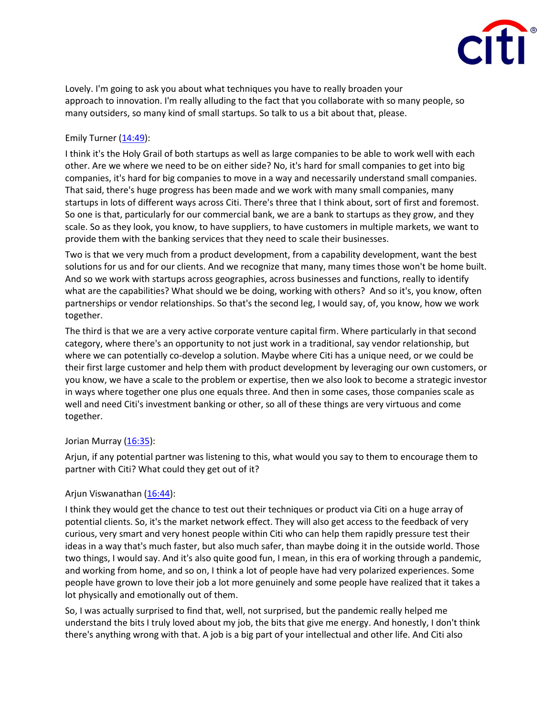

Lovely. I'm going to ask you about what techniques you have to really broaden your approach to innovation. I'm really alluding to the fact that you collaborate with so many people, so many outsiders, so many kind of small startups. So talk to us a bit about that, please.

# Emily Turner  $(14:49)$ :

I think it's the Holy Grail of both startups as well as large companies to be able to work well with each other. Are we where we need to be on either side? No, it's hard for small companies to get into big companies, it's hard for big companies to move in a way and necessarily understand small companies. That said, there's huge progress has been made and we work with many small companies, many startups in lots of different ways across Citi. There's three that I think about, sort of first and foremost. So one is that, particularly for our commercial bank, we are a bank to startups as they grow, and they scale. So as they look, you know, to have suppliers, to have customers in multiple markets, we want to provide them with the banking services that they need to scale their businesses.

Two is that we very much from a product development, from a capability development, want the best solutions for us and for our clients. And we recognize that many, many times those won't be home built. And so we work with startups across geographies, across businesses and functions, really to identify what are the capabilities? What should we be doing, working with others? And so it's, you know, often partnerships or vendor relationships. So that's the second leg, I would say, of, you know, how we work together.

The third is that we are a very active corporate venture capital firm. Where particularly in that second category, where there's an opportunity to not just work in a traditional, say vendor relationship, but where we can potentially co-develop a solution. Maybe where Citi has a unique need, or we could be their first large customer and help them with product development by leveraging our own customers, or you know, we have a scale to the problem or expertise, then we also look to become a strategic investor in ways where together one plus one equals three. And then in some cases, those companies scale as well and need Citi's investment banking or other, so all of these things are very virtuous and come together.

#### Jorian Murray [\(16:35\)](https://www.rev.com/transcript-editor/Edit?token=D-siRYuPIh-6f4S7Kfhx6ZHHBlNf6zrGJwj6mnDFZXq0grLgA6-O7XAVUaxRiK5EP5UqJW0j5Hvo7E5P2qgZHFoKyRQ&loadFrom=DocumentDeeplink&ts=995.67):

Arjun, if any potential partner was listening to this, what would you say to them to encourage them to partner with Citi? What could they get out of it?

# Arjun Viswanathan [\(16:44\)](https://www.rev.com/transcript-editor/Edit?token=FDux7uYaxvmpbL64zLYuu5b6qhDeKP7ct7_UgMUuxbamuEVULMbbmC7Gh-zbNGn5BDEVcObsmjWjjwp4O94xFSHIKdo&loadFrom=DocumentDeeplink&ts=1004.53):

I think they would get the chance to test out their techniques or product via Citi on a huge array of potential clients. So, it's the market network effect. They will also get access to the feedback of very curious, very smart and very honest people within Citi who can help them rapidly pressure test their ideas in a way that's much faster, but also much safer, than maybe doing it in the outside world. Those two things, I would say. And it's also quite good fun, I mean, in this era of working through a pandemic, and working from home, and so on, I think a lot of people have had very polarized experiences. Some people have grown to love their job a lot more genuinely and some people have realized that it takes a lot physically and emotionally out of them.

So, I was actually surprised to find that, well, not surprised, but the pandemic really helped me understand the bits I truly loved about my job, the bits that give me energy. And honestly, I don't think there's anything wrong with that. A job is a big part of your intellectual and other life. And Citi also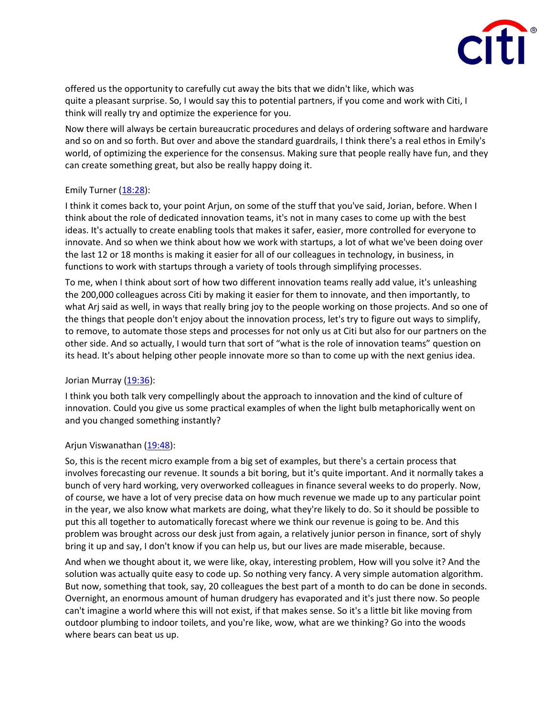

offered us the opportunity to carefully cut away the bits that we didn't like, which was quite a pleasant surprise. So, I would say this to potential partners, if you come and work with Citi, I think will really try and optimize the experience for you.

Now there will always be certain bureaucratic procedures and delays of ordering software and hardware and so on and so forth. But over and above the standard guardrails, I think there's a real ethos in Emily's world, of optimizing the experience for the consensus. Making sure that people really have fun, and they can create something great, but also be really happy doing it.

#### Emily Turner [\(18:28\)](https://www.rev.com/transcript-editor/Edit?token=VDCUHlcMCjeHIKOHcrf6bJwVve4neiMbcoO4wZ9_Bigu5_P8kASKSSvmZ_Pu7YXWqsHtLDBbuA8M9PGDvUM2-7lbgbE&loadFrom=DocumentDeeplink&ts=1108.25):

I think it comes back to, your point Arjun, on some of the stuff that you've said, Jorian, before. When I think about the role of dedicated innovation teams, it's not in many cases to come up with the best ideas. It's actually to create enabling tools that makes it safer, easier, more controlled for everyone to innovate. And so when we think about how we work with startups, a lot of what we've been doing over the last 12 or 18 months is making it easier for all of our colleagues in technology, in business, in functions to work with startups through a variety of tools through simplifying processes.

To me, when I think about sort of how two different innovation teams really add value, it's unleashing the 200,000 colleagues across Citi by making it easier for them to innovate, and then importantly, to what Arj said as well, in ways that really bring joy to the people working on those projects. And so one of the things that people don't enjoy about the innovation process, let's try to figure out ways to simplify, to remove, to automate those steps and processes for not only us at Citi but also for our partners on the other side. And so actually, I would turn that sort of "what is the role of innovation teams" question on its head. It's about helping other people innovate more so than to come up with the next genius idea.

#### Jorian Murray [\(19:36\)](https://www.rev.com/transcript-editor/Edit?token=zocS1-KIpG-IVUvsTMw3Tz8LU_WPNaBkVKCnVry8fXXk2bx9ZdWIqbaOf0Ihw-FDauqkaau0QM9XxewGPPwxpews9iI&loadFrom=DocumentDeeplink&ts=1176.18):

I think you both talk very compellingly about the approach to innovation and the kind of culture of innovation. Could you give us some practical examples of when the light bulb metaphorically went on and you changed something instantly?

#### Arjun Viswanathan [\(19:48\)](https://www.rev.com/transcript-editor/Edit?token=c6J3xBK_eP81jALuylP4vRkZJ0sxhadr-e6_6iradw4ssMP9YijgKL4yL9huFqm_yD7jWTLov-4zTQGYP8_BtpAKCv0&loadFrom=DocumentDeeplink&ts=1188.96):

So, this is the recent micro example from a big set of examples, but there's a certain process that involves forecasting our revenue. It sounds a bit boring, but it's quite important. And it normally takes a bunch of very hard working, very overworked colleagues in finance several weeks to do properly. Now, of course, we have a lot of very precise data on how much revenue we made up to any particular point in the year, we also know what markets are doing, what they're likely to do. So it should be possible to put this all together to automatically forecast where we think our revenue is going to be. And this problem was brought across our desk just from again, a relatively junior person in finance, sort of shyly bring it up and say, I don't know if you can help us, but our lives are made miserable, because.

And when we thought about it, we were like, okay, interesting problem, How will you solve it? And the solution was actually quite easy to code up. So nothing very fancy. A very simple automation algorithm. But now, something that took, say, 20 colleagues the best part of a month to do can be done in seconds. Overnight, an enormous amount of human drudgery has evaporated and it's just there now. So people can't imagine a world where this will not exist, if that makes sense. So it's a little bit like moving from outdoor plumbing to indoor toilets, and you're like, wow, what are we thinking? Go into the woods where bears can beat us up.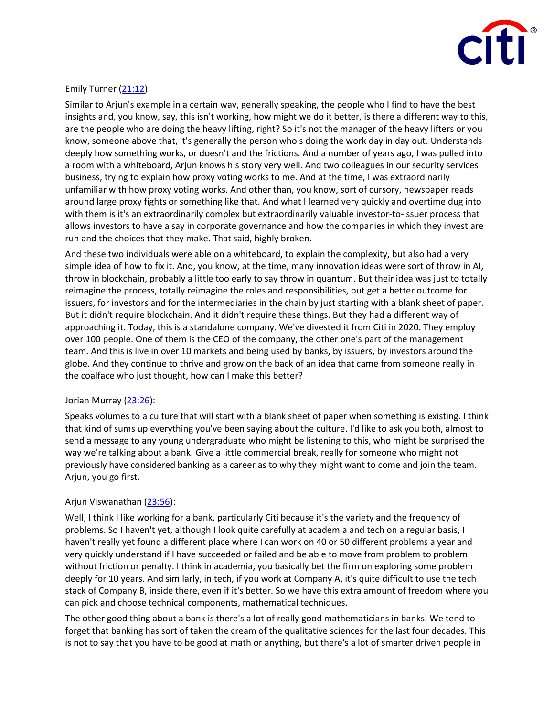

## Emily Turner  $(21:12)$ :

Similar to Arjun's example in a certain way, generally speaking, the people who I find to have the best insights and, you know, say, this isn't working, how might we do it better, is there a different way to this, are the people who are doing the heavy lifting, right? So it's not the manager of the heavy lifters or you know, someone above that, it's generally the person who's doing the work day in day out. Understands deeply how something works, or doesn't and the frictions. And a number of years ago, I was pulled into a room with a whiteboard, Arjun knows his story very well. And two colleagues in our security services business, trying to explain how proxy voting works to me. And at the time, I was extraordinarily unfamiliar with how proxy voting works. And other than, you know, sort of cursory, newspaper reads around large proxy fights or something like that. And what I learned very quickly and overtime dug into with them is it's an extraordinarily complex but extraordinarily valuable investor-to-issuer process that allows investors to have a say in corporate governance and how the companies in which they invest are run and the choices that they make. That said, highly broken.

And these two individuals were able on a whiteboard, to explain the complexity, but also had a very simple idea of how to fix it. And, you know, at the time, many innovation ideas were sort of throw in AI, throw in blockchain, probably a little too early to say throw in quantum. But their idea was just to totally reimagine the process, totally reimagine the roles and responsibilities, but get a better outcome for issuers, for investors and for the intermediaries in the chain by just starting with a blank sheet of paper. But it didn't require blockchain. And it didn't require these things. But they had a different way of approaching it. Today, this is a standalone company. We've divested it from Citi in 2020. They employ over 100 people. One of them is the CEO of the company, the other one's part of the management team. And this is live in over 10 markets and being used by banks, by issuers, by investors around the globe. And they continue to thrive and grow on the back of an idea that came from someone really in the coalface who just thought, how can I make this better?

#### Jorian Murray [\(23:26\)](https://www.rev.com/transcript-editor/Edit?token=FbL-LNi6uAeTlfZsggqJxgl7Ft5aXtSf8mtRXZNJvOtgXgUywrJhUUEi3FvF9rTVwDPKubFCN9RFnDz7BZY8bVXUA3I&loadFrom=DocumentDeeplink&ts=1406.32):

Speaks volumes to a culture that will start with a blank sheet of paper when something is existing. I think that kind of sums up everything you've been saying about the culture. I'd like to ask you both, almost to send a message to any young undergraduate who might be listening to this, who might be surprised the way we're talking about a bank. Give a little commercial break, really for someone who might not previously have considered banking as a career as to why they might want to come and join the team. Arjun, you go first.

#### Arjun Viswanathan [\(23:56\)](https://www.rev.com/transcript-editor/Edit?token=zN_LwfabCtuGXI6O7Irk9j4g34fJegBIoGW1-Gjtj_UgtykXZNK0gLKOE-Rl-Z_CiFLO7_jgWte2__eiJIeGLsmBoz8&loadFrom=DocumentDeeplink&ts=1436.38):

Well, I think I like working for a bank, particularly Citi because it's the variety and the frequency of problems. So I haven't yet, although I look quite carefully at academia and tech on a regular basis, I haven't really yet found a different place where I can work on 40 or 50 different problems a year and very quickly understand if I have succeeded or failed and be able to move from problem to problem without friction or penalty. I think in academia, you basically bet the firm on exploring some problem deeply for 10 years. And similarly, in tech, if you work at Company A, it's quite difficult to use the tech stack of Company B, inside there, even if it's better. So we have this extra amount of freedom where you can pick and choose technical components, mathematical techniques.

The other good thing about a bank is there's a lot of really good mathematicians in banks. We tend to forget that banking has sort of taken the cream of the qualitative sciences for the last four decades. This is not to say that you have to be good at math or anything, but there's a lot of smarter driven people in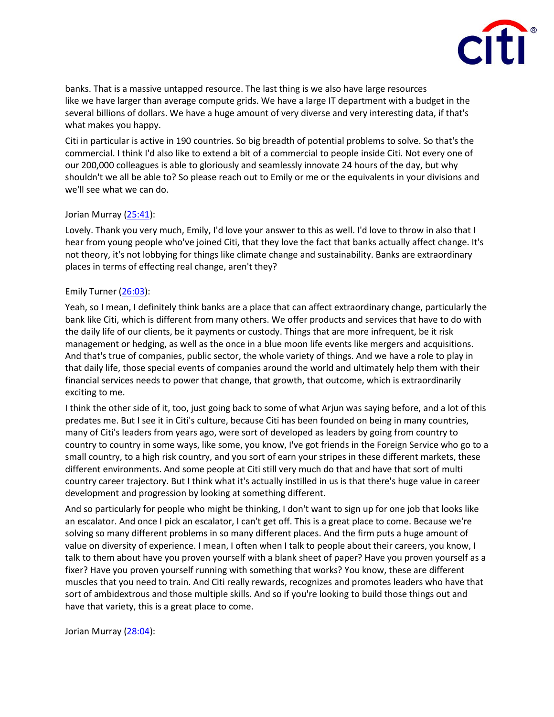

banks. That is a massive untapped resource. The last thing is we also have large resources like we have larger than average compute grids. We have a large IT department with a budget in the several billions of dollars. We have a huge amount of very diverse and very interesting data, if that's what makes you happy.

Citi in particular is active in 190 countries. So big breadth of potential problems to solve. So that's the commercial. I think I'd also like to extend a bit of a commercial to people inside Citi. Not every one of our 200,000 colleagues is able to gloriously and seamlessly innovate 24 hours of the day, but why shouldn't we all be able to? So please reach out to Emily or me or the equivalents in your divisions and we'll see what we can do.

# Jorian Murray [\(25:41\)](https://www.rev.com/transcript-editor/Edit?token=cOmWVlBW8pgMKcrKXTXEtYO-AL7tuOCDtMmCd6OKKaYaZ40W2KbVE_wD3DRTad8BByYXsDMpX0j7hhDW34X-dZzg5YA&loadFrom=DocumentDeeplink&ts=1541.02):

Lovely. Thank you very much, Emily, I'd love your answer to this as well. I'd love to throw in also that I hear from young people who've joined Citi, that they love the fact that banks actually affect change. It's not theory, it's not lobbying for things like climate change and sustainability. Banks are extraordinary places in terms of effecting real change, aren't they?

# Emily Turner [\(26:03\)](https://www.rev.com/transcript-editor/Edit?token=ySuMzOvfC3yPfnccxHdOe0dEOOidK_TNw7NxdKGVGDDio24jGy7BdQyQJH5esYuesw5RTSaw_qm93n3nhBtFX_Frj-Q&loadFrom=DocumentDeeplink&ts=1563.14):

Yeah, so I mean, I definitely think banks are a place that can affect extraordinary change, particularly the bank like Citi, which is different from many others. We offer products and services that have to do with the daily life of our clients, be it payments or custody. Things that are more infrequent, be it risk management or hedging, as well as the once in a blue moon life events like mergers and acquisitions. And that's true of companies, public sector, the whole variety of things. And we have a role to play in that daily life, those special events of companies around the world and ultimately help them with their financial services needs to power that change, that growth, that outcome, which is extraordinarily exciting to me.

I think the other side of it, too, just going back to some of what Arjun was saying before, and a lot of this predates me. But I see it in Citi's culture, because Citi has been founded on being in many countries, many of Citi's leaders from years ago, were sort of developed as leaders by going from country to country to country in some ways, like some, you know, I've got friends in the Foreign Service who go to a small country, to a high risk country, and you sort of earn your stripes in these different markets, these different environments. And some people at Citi still very much do that and have that sort of multi country career trajectory. But I think what it's actually instilled in us is that there's huge value in career development and progression by looking at something different.

And so particularly for people who might be thinking, I don't want to sign up for one job that looks like an escalator. And once I pick an escalator, I can't get off. This is a great place to come. Because we're solving so many different problems in so many different places. And the firm puts a huge amount of value on diversity of experience. I mean, I often when I talk to people about their careers, you know, I talk to them about have you proven yourself with a blank sheet of paper? Have you proven yourself as a fixer? Have you proven yourself running with something that works? You know, these are different muscles that you need to train. And Citi really rewards, recognizes and promotes leaders who have that sort of ambidextrous and those multiple skills. And so if you're looking to build those things out and have that variety, this is a great place to come.

Jorian Murray [\(28:04\)](https://www.rev.com/transcript-editor/Edit?token=P7oH64KZ0K3u6oNbuK0yXNv88iftfivtE19P1xOX1DGZmZNaj7SWzIZeYy5bKUhfVdTlQM7NpSGybteAqOpZiEGASDk&loadFrom=DocumentDeeplink&ts=1684.62):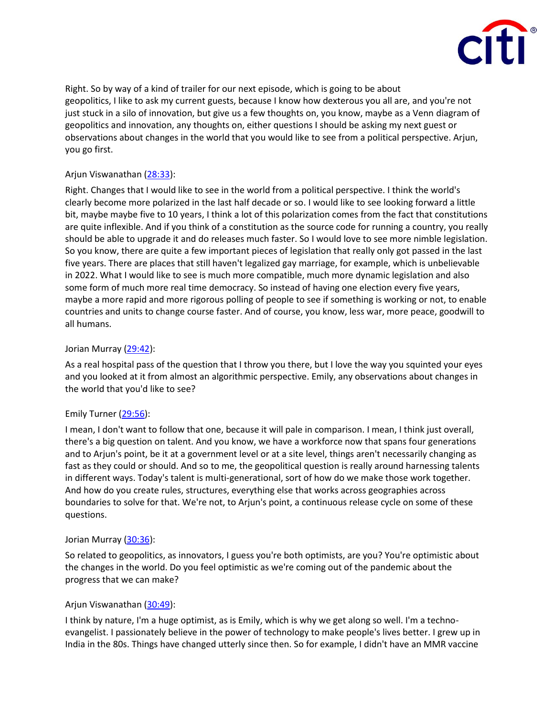

Right. So by way of a kind of trailer for our next episode, which is going to be about geopolitics, I like to ask my current guests, because I know how dexterous you all are, and you're not just stuck in a silo of innovation, but give us a few thoughts on, you know, maybe as a Venn diagram of geopolitics and innovation, any thoughts on, either questions I should be asking my next guest or observations about changes in the world that you would like to see from a political perspective. Arjun, you go first.

# Arjun Viswanathan [\(28:33\)](https://www.rev.com/transcript-editor/Edit?token=cck126gFcbU60iu3Uh_qJHhGvVlaCfktqXdcKYIBN7i1xJhfGL8FrtAgWbHScUOQwItZtanwTjx1uMCWO87XaOdbiMI&loadFrom=DocumentDeeplink&ts=1713.72):

Right. Changes that I would like to see in the world from a political perspective. I think the world's clearly become more polarized in the last half decade or so. I would like to see looking forward a little bit, maybe maybe five to 10 years, I think a lot of this polarization comes from the fact that constitutions are quite inflexible. And if you think of a constitution as the source code for running a country, you really should be able to upgrade it and do releases much faster. So I would love to see more nimble legislation. So you know, there are quite a few important pieces of legislation that really only got passed in the last five years. There are places that still haven't legalized gay marriage, for example, which is unbelievable in 2022. What I would like to see is much more compatible, much more dynamic legislation and also some form of much more real time democracy. So instead of having one election every five years, maybe a more rapid and more rigorous polling of people to see if something is working or not, to enable countries and units to change course faster. And of course, you know, less war, more peace, goodwill to all humans.

#### Jorian Murray [\(29:42\)](https://www.rev.com/transcript-editor/Edit?token=rd_mL7p33kxRZ901YjS6-xJBzgsme_NPqq2dvcy481WYhNuybwoC_lNFHv3u0icrt0YQBbtviSUnAgw5t25Yb5rOX-o&loadFrom=DocumentDeeplink&ts=1782.45):

As a real hospital pass of the question that I throw you there, but I love the way you squinted your eyes and you looked at it from almost an algorithmic perspective. Emily, any observations about changes in the world that you'd like to see?

#### Emily Turner [\(29:56\)](https://www.rev.com/transcript-editor/Edit?token=YAZ2SbxNWFZFgenfW2ofSPDNIpuW9tnKAQxfgj5sKluhkvkf51u-is9eJQZKwx_Q2y-OeFk0Bz7Or1xb4d_8OhF-6Ig&loadFrom=DocumentDeeplink&ts=1796.18):

I mean, I don't want to follow that one, because it will pale in comparison. I mean, I think just overall, there's a big question on talent. And you know, we have a workforce now that spans four generations and to Arjun's point, be it at a government level or at a site level, things aren't necessarily changing as fast as they could or should. And so to me, the geopolitical question is really around harnessing talents in different ways. Today's talent is multi-generational, sort of how do we make those work together. And how do you create rules, structures, everything else that works across geographies across boundaries to solve for that. We're not, to Arjun's point, a continuous release cycle on some of these questions.

#### Jorian Murray [\(30:36\)](https://www.rev.com/transcript-editor/Edit?token=0TOoLeX3b152yainH_LpGWsb77LFpIPfsnSIJAuvyob5tWRKYnuq1BMYGXtUhM1xF9O9d8OouYrdD7e_F_d7vTn9gtM&loadFrom=DocumentDeeplink&ts=1836.8):

So related to geopolitics, as innovators, I guess you're both optimists, are you? You're optimistic about the changes in the world. Do you feel optimistic as we're coming out of the pandemic about the progress that we can make?

#### Arjun Viswanathan [\(30:49\)](https://www.rev.com/transcript-editor/Edit?token=USvSIhHf35BUU2rpjTeP9cT6gUXUtcVJVimDuQ3vPumpuudynS5GHWoeGpi0Bz7Q_HVOsJCIqVgmMw7Ptu7DzVjydeE&loadFrom=DocumentDeeplink&ts=1849.14):

I think by nature, I'm a huge optimist, as is Emily, which is why we get along so well. I'm a technoevangelist. I passionately believe in the power of technology to make people's lives better. I grew up in India in the 80s. Things have changed utterly since then. So for example, I didn't have an MMR vaccine